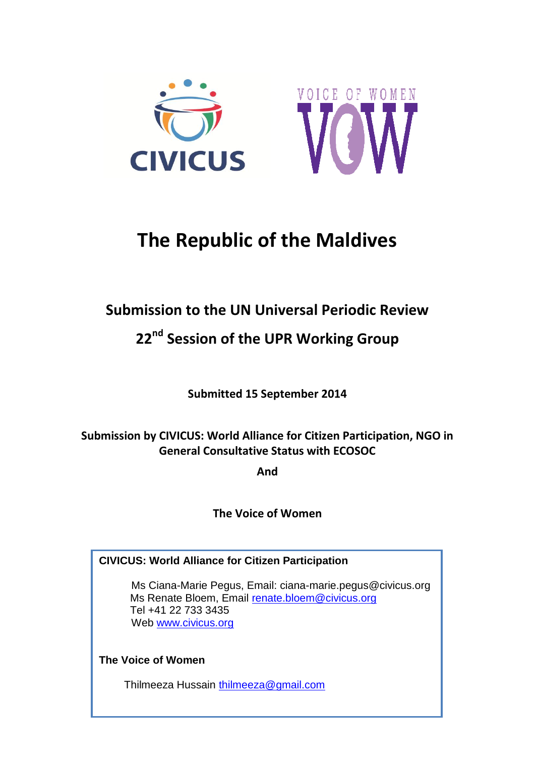



# **The Republic of the Maldives**

# **Submission to the UN Universal Periodic Review**

# **22 nd Session of the UPR Working Group**

**Submitted 15 September 2014**

# **Submission by CIVICUS: World Alliance for Citizen Participation, NGO in General Consultative Status with ECOSOC**

**And**

**The Voice of Women**

### **CIVICUS: World Alliance for Citizen Participation**

Ms Ciana-Marie Pegus, Email: ciana-marie.pegus@civicus.org Ms Renate Bloem, Email [renate.bloem@civicus.org](mailto:renate.bloem@civicus.org) Tel +41 22 733 3435 Web [www.civicus.org](http://www.civicus.org/)

**The Voice of Women**

Thilmeeza Hussain [thilmeeza@gmail.com](mailto:thilmeeza@gmail.com)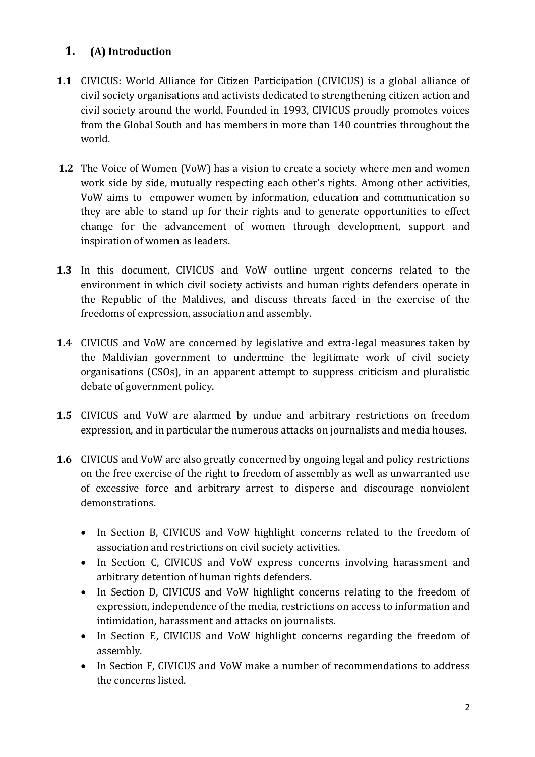## **1. (A) Introduction**

- **1.1** CIVICUS: World Alliance for Citizen Participation (CIVICUS) is a global alliance of civil society organisations and activists dedicated to strengthening citizen action and civil society around the world. Founded in 1993, CIVICUS proudly promotes voices from the Global South and has members in more than 140 countries throughout the world.
- **1.2** The Voice of Women (VoW) has a vision to create a society where men and women work side by side, mutually respecting each other's rights. Among other activities, VoW aims to empower women by information, education and communication so they are able to stand up for their rights and to generate opportunities to effect change for the advancement of women through development, support and inspiration of women as leaders.
- **1.3** In this document, CIVICUS and VoW outline urgent concerns related to the environment in which civil society activists and human rights defenders operate in the Republic of the Maldives, and discuss threats faced in the exercise of the freedoms of expression, association and assembly.
- **1.4** CIVICUS and VoW are concerned by legislative and extra-legal measures taken by the Maldivian government to undermine the legitimate work of civil society organisations (CSOs), in an apparent attempt to suppress criticism and pluralistic debate of government policy.
- **1.5** CIVICUS and VoW are alarmed by undue and arbitrary restrictions on freedom expression, and in particular the numerous attacks on journalists and media houses.
- **1.6** CIVICUS and VoW are also greatly concerned by ongoing legal and policy restrictions on the free exercise of the right to freedom of assembly as well as unwarranted use of excessive force and arbitrary arrest to disperse and discourage nonviolent demonstrations.
	- In Section B, CIVICUS and VoW highlight concerns related to the freedom of association and restrictions on civil society activities.
	- In Section C, CIVICUS and VoW express concerns involving harassment and arbitrary detention of human rights defenders.
	- In Section D, CIVICUS and VoW highlight concerns relating to the freedom of expression, independence of the media, restrictions on access to information and intimidation, harassment and attacks on journalists.
	- In Section E, CIVICUS and VoW highlight concerns regarding the freedom of assembly.
	- In Section F, CIVICUS and VoW make a number of recommendations to address the concerns listed.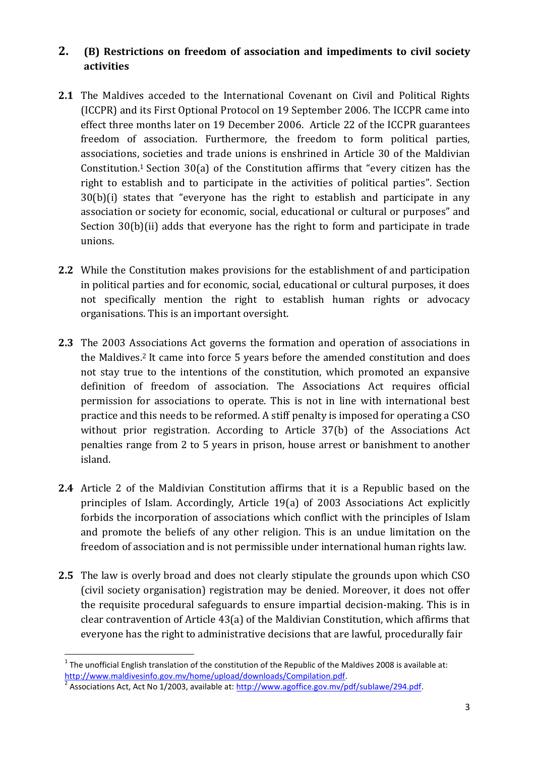#### **2. (B) Restrictions on freedom of association and impediments to civil society activities**

- **2.1** The Maldives acceded to the International Covenant on Civil and Political Rights (ICCPR) and its First Optional Protocol on 19 September 2006. The ICCPR came into effect three months later on 19 December 2006. Article 22 of the ICCPR guarantees freedom of association. Furthermore, the freedom to form political parties, associations, societies and trade unions is enshrined in Article 30 of the Maldivian Constitution.<sup>1</sup> Section 30(a) of the Constitution affirms that "every citizen has the right to establish and to participate in the activities of political parties". Section 30(b)(i) states that "everyone has the right to establish and participate in any association or society for economic, social, educational or cultural or purposes" and Section 30(b)(ii) adds that everyone has the right to form and participate in trade unions.
- **2.2** While the Constitution makes provisions for the establishment of and participation in political parties and for economic, social, educational or cultural purposes, it does not specifically mention the right to establish human rights or advocacy organisations. This is an important oversight.
- **2.3** The 2003 Associations Act governs the formation and operation of associations in the Maldives.<sup>2</sup> It came into force 5 years before the amended constitution and does not stay true to the intentions of the constitution, which promoted an expansive definition of freedom of association. The Associations Act requires official permission for associations to operate. This is not in line with international best practice and this needs to be reformed. A stiff penalty is imposed for operating a CSO without prior registration. According to Article 37(b) of the Associations Act penalties range from 2 to 5 years in prison, house arrest or banishment to another island.
- **2.4** Article 2 of the Maldivian Constitution affirms that it is a Republic based on the principles of Islam. Accordingly, Article 19(a) of 2003 Associations Act explicitly forbids the incorporation of associations which conflict with the principles of Islam and promote the beliefs of any other religion. This is an undue limitation on the freedom of association and is not permissible under international human rights law.
- **2.5** The law is overly broad and does not clearly stipulate the grounds upon which CSO (civil society organisation) registration may be denied. Moreover, it does not offer the requisite procedural safeguards to ensure impartial decision-making. This is in clear contravention of Article 43(a) of the Maldivian Constitution, which affirms that everyone has the right to administrative decisions that are lawful, procedurally fair

 $1$  The unofficial English translation of the constitution of the Republic of the Maldives 2008 is available at: [http://www.maldivesinfo.gov.mv/home/upload/downloads/Compilation.pdf.](http://www.maldivesinfo.gov.mv/home/upload/downloads/Compilation.pdf)

<sup>&</sup>lt;sup>2</sup> Associations Act, Act No 1/2003, available at: [http://www.agoffice.gov.mv/pdf/sublawe/294.pdf.](http://www.agoffice.gov.mv/pdf/sublawe/294.pdf)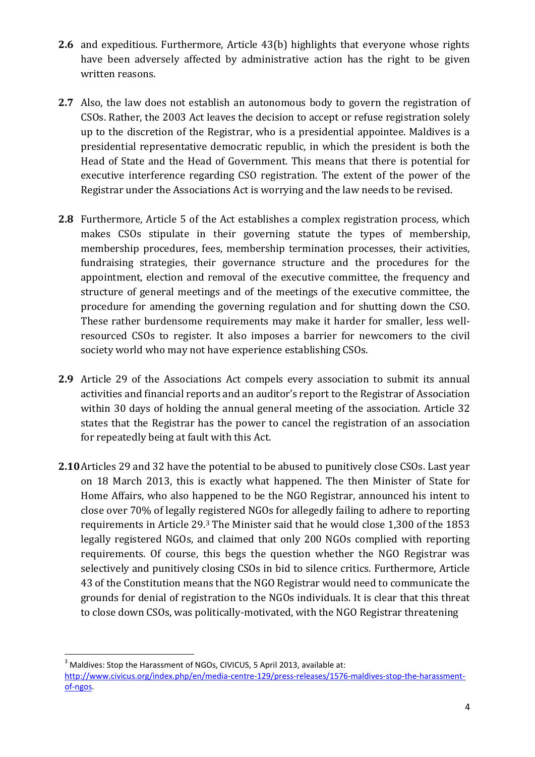- **2.6** and expeditious. Furthermore, Article 43(b) highlights that everyone whose rights have been adversely affected by administrative action has the right to be given written reasons.
- **2.7** Also, the law does not establish an autonomous body to govern the registration of CSOs. Rather, the 2003 Act leaves the decision to accept or refuse registration solely up to the discretion of the Registrar, who is a presidential appointee. Maldives is a presidential representative democratic republic, in which the president is both the Head of State and the Head of Government. This means that there is potential for executive interference regarding CSO registration. The extent of the power of the Registrar under the Associations Act is worrying and the law needs to be revised.
- **2.8** Furthermore, Article 5 of the Act establishes a complex registration process, which makes CSOs stipulate in their governing statute the types of membership, membership procedures, fees, membership termination processes, their activities, fundraising strategies, their governance structure and the procedures for the appointment, election and removal of the executive committee, the frequency and structure of general meetings and of the meetings of the executive committee, the procedure for amending the governing regulation and for shutting down the CSO. These rather burdensome requirements may make it harder for smaller, less wellresourced CSOs to register. It also imposes a barrier for newcomers to the civil society world who may not have experience establishing CSOs.
- **2.9** Article 29 of the Associations Act compels every association to submit its annual activities and financial reports and an auditor's report to the Registrar of Association within 30 days of holding the annual general meeting of the association. Article 32 states that the Registrar has the power to cancel the registration of an association for repeatedly being at fault with this Act.
- **2.10**Articles 29 and 32 have the potential to be abused to punitively close CSOs. Last year on 18 March 2013, this is exactly what happened. The then Minister of State for Home Affairs, who also happened to be the NGO Registrar, announced his intent to close over 70% of legally registered NGOs for allegedly failing to adhere to reporting requirements in Article 29.<sup>3</sup> The Minister said that he would close 1,300 of the 1853 legally registered NGOs, and claimed that only 200 NGOs complied with reporting requirements. Of course, this begs the question whether the NGO Registrar was selectively and punitively closing CSOs in bid to silence critics. Furthermore, Article 43 of the Constitution means that the NGO Registrar would need to communicate the grounds for denial of registration to the NGOs individuals. It is clear that this threat to close down CSOs, was politically-motivated, with the NGO Registrar threatening

<sup>&</sup>lt;sup>3</sup> Maldives: Stop the Harassment of NGOs, CIVICUS, 5 April 2013, available at: [http://www.civicus.org/index.php/en/media-centre-129/press-releases/1576-maldives-stop-the-harassment](http://www.civicus.org/index.php/en/media-centre-129/press-releases/1576-maldives-stop-the-harassment-of-ngos)[of-ngos.](http://www.civicus.org/index.php/en/media-centre-129/press-releases/1576-maldives-stop-the-harassment-of-ngos)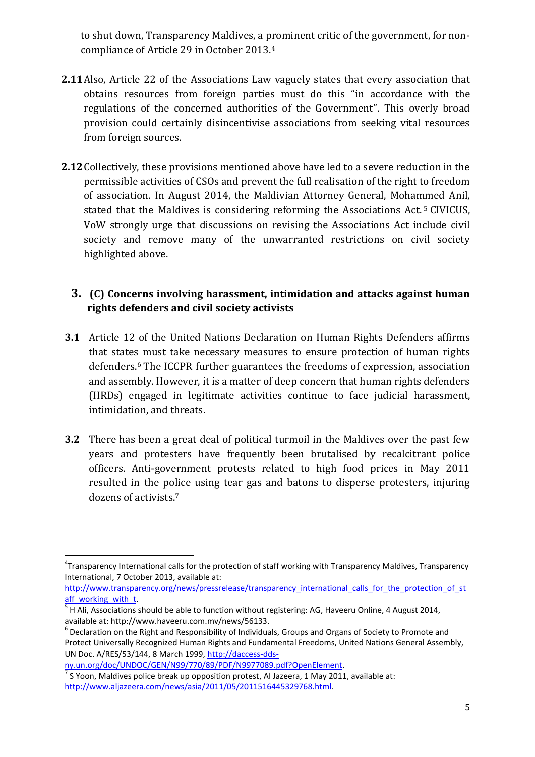to shut down, Transparency Maldives, a prominent critic of the government, for noncompliance of Article 29 in October 2013.<sup>4</sup>

- **2.11**Also, Article 22 of the Associations Law vaguely states that every association that obtains resources from foreign parties must do this "in accordance with the regulations of the concerned authorities of the Government". This overly broad provision could certainly disincentivise associations from seeking vital resources from foreign sources.
- **2.12**Collectively, these provisions mentioned above have led to a severe reduction in the permissible activities of CSOs and prevent the full realisation of the right to freedom of association. In August 2014, the Maldivian Attorney General, Mohammed Anil, stated that the Maldives is considering reforming the Associations Act. <sup>5</sup> CIVICUS, VoW strongly urge that discussions on revising the Associations Act include civil society and remove many of the unwarranted restrictions on civil society highlighted above.

### **3. (C) Concerns involving harassment, intimidation and attacks against human rights defenders and civil society activists**

- **3.1** Article 12 of the United Nations Declaration on Human Rights Defenders affirms that states must take necessary measures to ensure protection of human rights defenders.<sup>6</sup> The ICCPR further guarantees the freedoms of expression, association and assembly. However, it is a matter of deep concern that human rights defenders (HRDs) engaged in legitimate activities continue to face judicial harassment, intimidation, and threats.
- **3.2** There has been a great deal of political turmoil in the Maldives over the past few years and protesters have frequently been brutalised by recalcitrant police officers. Anti-government protests related to high food prices in May 2011 resulted in the police using tear gas and batons to disperse protesters, injuring dozens of activists.<sup>7</sup>

[http://www.transparency.org/news/pressrelease/transparency\\_international\\_calls\\_for\\_the\\_protection\\_of\\_st](http://www.transparency.org/news/pressrelease/transparency_international_calls_for_the_protection_of_staff_working_with_t)\_ [aff\\_working\\_with\\_t.](http://www.transparency.org/news/pressrelease/transparency_international_calls_for_the_protection_of_staff_working_with_t)

 $\overline{a}$ 4 Transparency International calls for the protection of staff working with Transparency Maldives, Transparency International, 7 October 2013, available at:

 $<sup>5</sup>$  H Ali, Associations should be able to function without registering: AG, Haveeru Online, 4 August 2014,</sup> available at: http://www.haveeru.com.mv/news/56133.<br><sup>6</sup> Declaration on the Right and Responsibility of Individuals, Groups and Organs of Society to Promote and

Protect Universally Recognized Human Rights and Fundamental Freedoms, United Nations General Assembly, UN Doc. A/RES/53/144, 8 March 1999, [http://daccess-dds-](http://daccess-dds-ny.un.org/doc/UNDOC/GEN/N99/770/89/PDF/N9977089.pdf?OpenElement)

[ny.un.org/doc/UNDOC/GEN/N99/770/89/PDF/N9977089.pdf?OpenElement.](http://daccess-dds-ny.un.org/doc/UNDOC/GEN/N99/770/89/PDF/N9977089.pdf?OpenElement)   $^7$  S Yoon, Maldives police break up opposition protest, Al Jazeera, 1 May 2011, available at: [http://www.aljazeera.com/news/asia/2011/05/2011516445329768.html.](http://www.aljazeera.com/news/asia/2011/05/2011516445329768.html)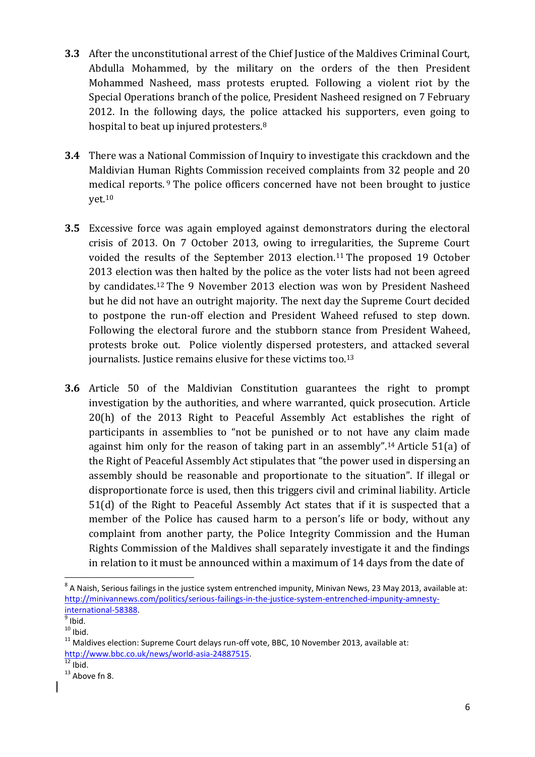- **3.3** After the unconstitutional arrest of the Chief Justice of the Maldives Criminal Court, Abdulla Mohammed, by the military on the orders of the then President Mohammed Nasheed, mass protests erupted. Following a violent riot by the Special Operations branch of the police, President Nasheed resigned on 7 February 2012. In the following days, the police attacked his supporters, even going to hospital to beat up injured protesters.<sup>8</sup>
- **3.4** There was a National Commission of Inquiry to investigate this crackdown and the Maldivian Human Rights Commission received complaints from 32 people and 20 medical reports. <sup>9</sup> The police officers concerned have not been brought to justice yet. 10
- **3.5** Excessive force was again employed against demonstrators during the electoral crisis of 2013. On 7 October 2013, owing to irregularities, the Supreme Court voided the results of the September 2013 election. <sup>11</sup> The proposed 19 October 2013 election was then halted by the police as the voter lists had not been agreed by candidates.<sup>12</sup> The 9 November 2013 election was won by President Nasheed but he did not have an outright majority. The next day the Supreme Court decided to postpone the run-off election and President Waheed refused to step down. Following the electoral furore and the stubborn stance from President Waheed, protests broke out. Police violently dispersed protesters, and attacked several journalists. Justice remains elusive for these victims too.<sup>13</sup>
- **3.6** Article 50 of the Maldivian Constitution guarantees the right to prompt investigation by the authorities, and where warranted, quick prosecution. Article 20(h) of the 2013 Right to Peaceful Assembly Act establishes the right of participants in assemblies to "not be punished or to not have any claim made against him only for the reason of taking part in an assembly".<sup>14</sup> Article 51(a) of the Right of Peaceful Assembly Act stipulates that "the power used in dispersing an assembly should be reasonable and proportionate to the situation". If illegal or disproportionate force is used, then this triggers civil and criminal liability. Article 51(d) of the Right to Peaceful Assembly Act states that if it is suspected that a member of the Police has caused harm to a person's life or body, without any complaint from another party, the Police Integrity Commission and the Human Rights Commission of the Maldives shall separately investigate it and the findings in relation to it must be announced within a maximum of 14 days from the date of

 8 A Naish, Serious failings in the justice system entrenched impunity, Minivan News, 23 May 2013, available at: [http://minivannews.com/politics/serious-failings-in-the-justice-system-entrenched-impunity-amnesty](http://minivannews.com/politics/serious-failings-in-the-justice-system-entrenched-impunity-amnesty-international-58388)[international-58388.](http://minivannews.com/politics/serious-failings-in-the-justice-system-entrenched-impunity-amnesty-international-58388)

 $<sup>9</sup>$  Ibid.</sup>

 $10$  Ibid.

 $11$  Maldives election: Supreme Court delays run-off vote, BBC, 10 November 2013, available at: [http://www.bbc.co.uk/news/world-asia-24887515.](http://www.bbc.co.uk/news/world-asia-24887515)

 $12$  Ibid.

 $13$  Above fn 8.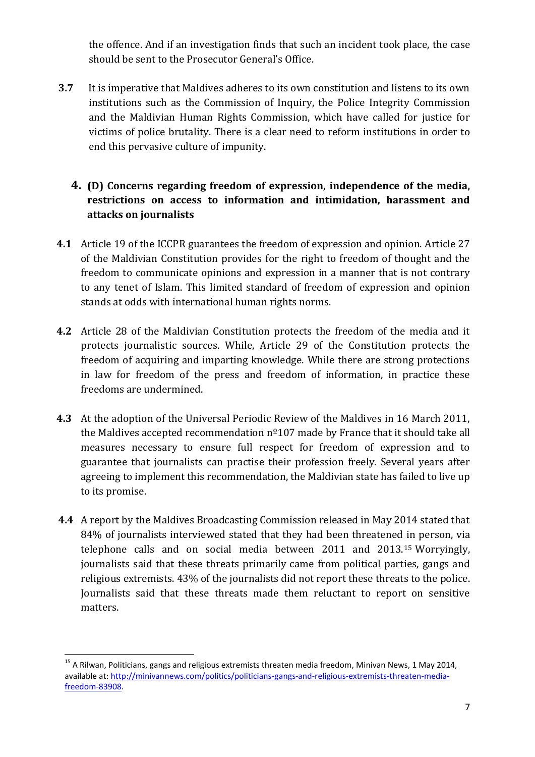the offence. And if an investigation finds that such an incident took place, the case should be sent to the Prosecutor General's Office.

**3.7** It is imperative that Maldives adheres to its own constitution and listens to its own institutions such as the Commission of Inquiry, the Police Integrity Commission and the Maldivian Human Rights Commission, which have called for justice for victims of police brutality. There is a clear need to reform institutions in order to end this pervasive culture of impunity.

#### **4. (D) Concerns regarding freedom of expression, independence of the media, restrictions on access to information and intimidation, harassment and attacks on journalists**

- **4.1** Article 19 of the ICCPR guarantees the freedom of expression and opinion. Article 27 of the Maldivian Constitution provides for the right to freedom of thought and the freedom to communicate opinions and expression in a manner that is not contrary to any tenet of Islam. This limited standard of freedom of expression and opinion stands at odds with international human rights norms.
- **4.2** Article 28 of the Maldivian Constitution protects the freedom of the media and it protects journalistic sources. While, Article 29 of the Constitution protects the freedom of acquiring and imparting knowledge. While there are strong protections in law for freedom of the press and freedom of information, in practice these freedoms are undermined.
- **4.3** At the adoption of the Universal Periodic Review of the Maldives in 16 March 2011, the Maldives accepted recommendation  $n^{\circ}107$  made by France that it should take all measures necessary to ensure full respect for freedom of expression and to guarantee that journalists can practise their profession freely. Several years after agreeing to implement this recommendation, the Maldivian state has failed to live up to its promise.
- **4.4** A report by the Maldives Broadcasting Commission released in May 2014 stated that 84% of journalists interviewed stated that they had been threatened in person, via telephone calls and on social media between 2011 and 2013.<sup>15</sup> Worryingly, journalists said that these threats primarily came from political parties, gangs and religious extremists. 43% of the journalists did not report these threats to the police. Journalists said that these threats made them reluctant to report on sensitive matters.

 $^{15}$  A Rilwan, Politicians, gangs and religious extremists threaten media freedom, Minivan News, 1 May 2014, available at: [http://minivannews.com/politics/politicians-gangs-and-religious-extremists-threaten-media](http://minivannews.com/politics/politicians-gangs-and-religious-extremists-threaten-media-freedom-83908)[freedom-83908.](http://minivannews.com/politics/politicians-gangs-and-religious-extremists-threaten-media-freedom-83908)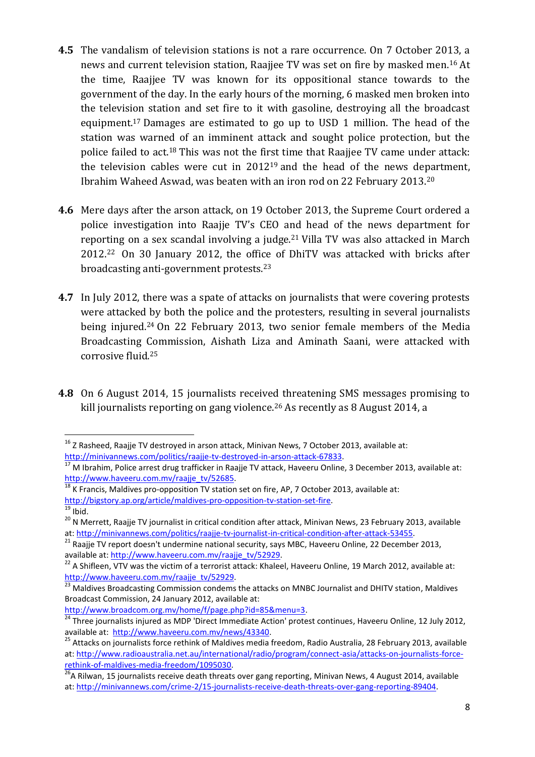- **4.5** The vandalism of television stations is not a rare occurrence. On 7 October 2013, a news and current television station. Raajjee TV was set on fire by masked men.<sup>16</sup> At the time, Raajjee TV was known for its oppositional stance towards to the government of the day. In the early hours of the morning, 6 masked men broken into the television station and set fire to it with gasoline, destroying all the broadcast equipment.<sup>17</sup> Damages are estimated to go up to USD 1 million. The head of the station was warned of an imminent attack and sought police protection, but the police failed to act.<sup>18</sup> This was not the first time that Raajjee TV came under attack: the television cables were cut in 2012<sup>19</sup> and the head of the news department, Ibrahim Waheed Aswad, was beaten with an iron rod on 22 February 2013.<sup>20</sup>
- **4.6** Mere days after the arson attack, on 19 October 2013, the Supreme Court ordered a police investigation into Raajje TV's CEO and head of the news department for reporting on a sex scandal involving a judge.<sup>21</sup> Villa TV was also attacked in March 2012.<sup>22</sup> On 30 January 2012, the office of DhiTV was attacked with bricks after broadcasting anti-government protests.<sup>23</sup>
- **4.7** In July 2012, there was a spate of attacks on journalists that were covering protests were attacked by both the police and the protesters, resulting in several journalists being injured.<sup>24</sup> On 22 February 2013, two senior female members of the Media Broadcasting Commission, Aishath Liza and Aminath Saani, were attacked with corrosive fluid. 25
- **4.8** On 6 August 2014, 15 journalists received threatening SMS messages promising to kill journalists reporting on gang violence.<sup>26</sup> As recently as 8 August 2014, a

[http://www.broadcom.org.mv/home/f/page.php?id=85&menu=3.](http://www.broadcom.org.mv/home/f/page.php?id=85&menu=3)

<sup>1</sup>  $^{16}$  Z Rasheed, Raajje TV destroyed in arson attack, Minivan News, 7 October 2013, available at: [http://minivannews.com/politics/raajje-tv-destroyed-in-arson-attack-67833.](http://minivannews.com/politics/raajje-tv-destroyed-in-arson-attack-67833)

<sup>&</sup>lt;sup>17</sup> M Ibrahim, Police arrest drug trafficker in Raajje TV attack, Haveeru Online, 3 December 2013, available at: [http://www.haveeru.com.mv/raajje\\_tv/52685.](http://www.haveeru.com.mv/raajje_tv/52685)

<sup>&</sup>lt;sup>18</sup> K Francis, Maldives pro-opposition TV station set on fire, AP, 7 October 2013, available at:

[http://bigstory.ap.org/article/maldives-pro-opposition-tv-station-set-fire.](http://bigstory.ap.org/article/maldives-pro-opposition-tv-station-set-fire)

 $19$  Ibid.

 $^{20}$  N Merrett, Raajje TV journalist in critical condition after attack, Minivan News, 23 February 2013, available at: [http://minivannews.com/politics/raajje-tv-journalist-in-critical-condition-after-attack-53455.](http://minivannews.com/politics/raajje-tv-journalist-in-critical-condition-after-attack-53455)

 $^{21}$  Raaiie TV report doesn't undermine national security, says MBC, Haveeru Online, 22 December 2013, available at: [http://www.haveeru.com.mv/raajje\\_tv/52929.](http://www.haveeru.com.mv/raajje_tv/52929)

<sup>&</sup>lt;sup>22</sup> A Shifleen, VTV was the victim of a terrorist attack: Khaleel, Haveeru Online, 19 March 2012, available at: [http://www.haveeru.com.mv/raajje\\_tv/52929.](http://www.haveeru.com.mv/raajje_tv/52929)

<sup>&</sup>lt;sup>23</sup> Maldives Broadcasting Commission condems the attacks on MNBC Journalist and DHITV station, Maldives Broadcast Commission, 24 January 2012, available at:

<sup>&</sup>lt;sup>24</sup> Three journalists injured as MDP 'Direct Immediate Action' protest continues, Haveeru Online, 12 July 2012, available at: [http://www.haveeru.com.mv/news/43340.](http://www.haveeru.com.mv/news/43340)

<sup>&</sup>lt;sup>25</sup> Attacks on journalists force rethink of Maldives media freedom, Radio Australia, 28 February 2013, available at: [http://www.radioaustralia.net.au/international/radio/program/connect-asia/attacks-on-journalists-force](http://www.radioaustralia.net.au/international/radio/program/connect-asia/attacks-on-journalists-force-rethink-of-maldives-media-freedom/1095030)[rethink-of-maldives-media-freedom/1095030.](http://www.radioaustralia.net.au/international/radio/program/connect-asia/attacks-on-journalists-force-rethink-of-maldives-media-freedom/1095030) 

<sup>&</sup>lt;sup>26</sup>A Rilwan, 15 journalists receive death threats over gang reporting, Minivan News, 4 August 2014, available at: [http://minivannews.com/crime-2/15-journalists-receive-death-threats-over-gang-reporting-89404.](http://minivannews.com/crime-2/15-journalists-receive-death-threats-over-gang-reporting-89404)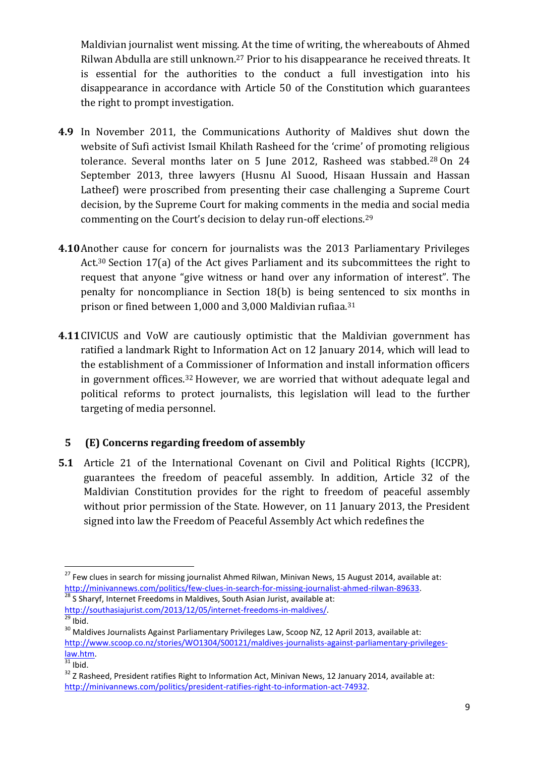Maldivian journalist went missing. At the time of writing, the whereabouts of Ahmed Rilwan Abdulla are still unknown.<sup>27</sup> Prior to his disappearance he received threats. It is essential for the authorities to the conduct a full investigation into his disappearance in accordance with Article 50 of the Constitution which guarantees the right to prompt investigation.

- **4.9** In November 2011, the Communications Authority of Maldives shut down the website of Sufi activist Ismail Khilath Rasheed for the 'crime' of promoting religious tolerance. Several months later on 5 June 2012, Rasheed was stabbed.<sup>28</sup> On 24 September 2013, three lawyers (Husnu Al Suood, Hisaan Hussain and Hassan Latheef) were proscribed from presenting their case challenging a Supreme Court decision, by the Supreme Court for making comments in the media and social media commenting on the Court's decision to delay run-off elections.<sup>29</sup>
- **4.10**Another cause for concern for journalists was the 2013 Parliamentary Privileges Act.<sup>30</sup> Section 17(a) of the Act gives Parliament and its subcommittees the right to request that anyone "give witness or hand over any information of interest". The penalty for noncompliance in Section 18(b) is being sentenced to six months in prison or fined between 1,000 and 3,000 Maldivian rufiaa. 31
- **4.11**CIVICUS and VoW are cautiously optimistic that the Maldivian government has ratified a landmark Right to Information Act on 12 January 2014, which will lead to the establishment of a Commissioner of Information and install information officers in government offices.<sup>32</sup> However, we are worried that without adequate legal and political reforms to protect journalists, this legislation will lead to the further targeting of media personnel.

#### **5 (E) Concerns regarding freedom of assembly**

**5.1** Article 21 of the International Covenant on Civil and Political Rights (ICCPR), guarantees the freedom of peaceful assembly. In addition, Article 32 of the Maldivian Constitution provides for the right to freedom of peaceful assembly without prior permission of the State. However, on 11 January 2013, the President signed into law the Freedom of Peaceful Assembly Act which redefines the

[http://southasiajurist.com/2013/12/05/internet-freedoms-in-maldives/.](http://southasiajurist.com/2013/12/05/internet-freedoms-in-maldives/)

<sup>&</sup>lt;sup>27</sup> Few clues in search for missing journalist Ahmed Rilwan, Minivan News, 15 August 2014, available at: [http://minivannews.com/politics/few-clues-in-search-for-missing-journalist-ahmed-rilwan-89633.](http://minivannews.com/politics/few-clues-in-search-for-missing-journalist-ahmed-rilwan-89633) 28 S Sharyf, Internet Freedoms in Maldives, South Asian Jurist, available at:

 $\overline{^{29}}$  Ibid.

 $30$  Maldives Journalists Against Parliamentary Privileges Law, Scoop NZ, 12 April 2013, available at: [http://www.scoop.co.nz/stories/WO1304/S00121/maldives-journalists-against-parliamentary-privileges](http://www.scoop.co.nz/stories/WO1304/S00121/maldives-journalists-against-parliamentary-privileges-law.htm)[law.htm.](http://www.scoop.co.nz/stories/WO1304/S00121/maldives-journalists-against-parliamentary-privileges-law.htm)

 $\overline{\frac{31}{}}$ Ibid.

<sup>&</sup>lt;sup>32</sup> Z Rasheed, President ratifies Right to Information Act, Minivan News, 12 January 2014, available at: [http://minivannews.com/politics/president-ratifies-right-to-information-act-74932.](http://minivannews.com/politics/president-ratifies-right-to-information-act-74932)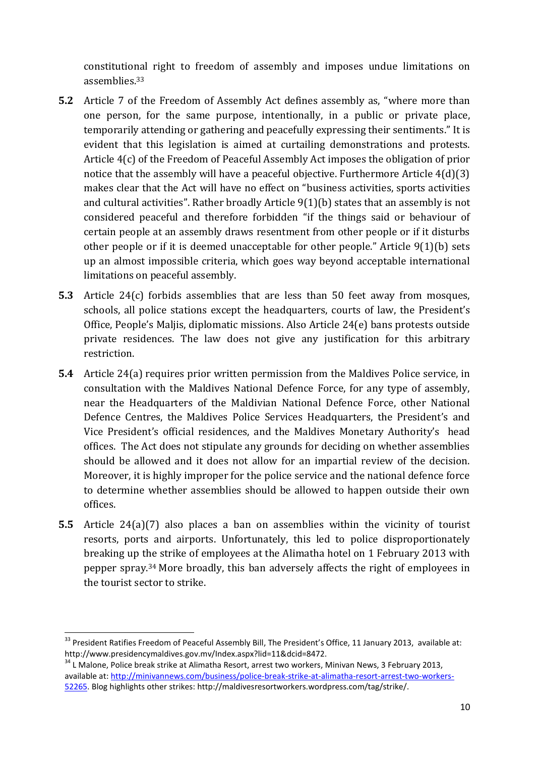constitutional right to freedom of assembly and imposes undue limitations on assemblies.<sup>33</sup>

- **5.2** Article 7 of the Freedom of Assembly Act defines assembly as, "where more than one person, for the same purpose, intentionally, in a public or private place, temporarily attending or gathering and peacefully expressing their sentiments." It is evident that this legislation is aimed at curtailing demonstrations and protests. Article 4(c) of the Freedom of Peaceful Assembly Act imposes the obligation of prior notice that the assembly will have a peaceful objective. Furthermore Article 4(d)(3) makes clear that the Act will have no effect on "business activities, sports activities and cultural activities". Rather broadly Article 9(1)(b) states that an assembly is not considered peaceful and therefore forbidden "if the things said or behaviour of certain people at an assembly draws resentment from other people or if it disturbs other people or if it is deemed unacceptable for other people." Article 9(1)(b) sets up an almost impossible criteria, which goes way beyond acceptable international limitations on peaceful assembly.
- **5.3** Article 24(c) forbids assemblies that are less than 50 feet away from mosques, schools, all police stations except the headquarters, courts of law, the President's Office, People's Maljis, diplomatic missions. Also Article 24(e) bans protests outside private residences. The law does not give any justification for this arbitrary restriction.
- **5.4** Article 24(a) requires prior written permission from the Maldives Police service, in consultation with the Maldives National Defence Force, for any type of assembly, near the Headquarters of the Maldivian National Defence Force, other National Defence Centres, the Maldives Police Services Headquarters, the President's and Vice President's official residences, and the Maldives Monetary Authority's head offices. The Act does not stipulate any grounds for deciding on whether assemblies should be allowed and it does not allow for an impartial review of the decision. Moreover, it is highly improper for the police service and the national defence force to determine whether assemblies should be allowed to happen outside their own offices.
- **5.5** Article 24(a)(7) also places a ban on assemblies within the vicinity of tourist resorts, ports and airports. Unfortunately, this led to police disproportionately breaking up the strike of employees at the Alimatha hotel on 1 February 2013 with pepper spray.<sup>34</sup> More broadly, this ban adversely affects the right of employees in the tourist sector to strike.

 $\overline{a}$ 

<sup>&</sup>lt;sup>33</sup> President Ratifies Freedom of Peaceful Assembly Bill, The President's Office, 11 January 2013, available at: http://www.presidencymaldives.gov.mv/Index.aspx?lid=11&dcid=8472.

 $34$  L Malone, Police break strike at Alimatha Resort, arrest two workers, Minivan News, 3 February 2013, available at: [http://minivannews.com/business/police-break-strike-at-alimatha-resort-arrest-two-workers-](http://minivannews.com/business/police-break-strike-at-alimatha-resort-arrest-two-workers-52265)[52265.](http://minivannews.com/business/police-break-strike-at-alimatha-resort-arrest-two-workers-52265) Blog highlights other strikes: http://maldivesresortworkers.wordpress.com/tag/strike/.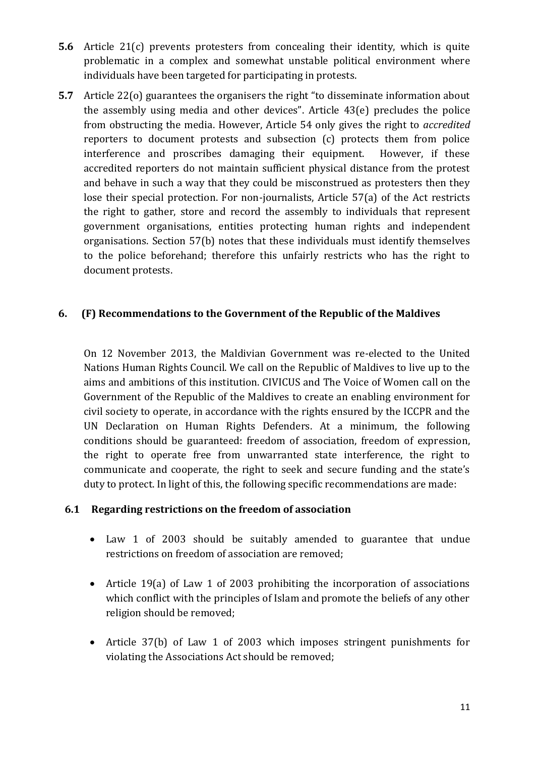- **5.6** Article 21(c) prevents protesters from concealing their identity, which is quite problematic in a complex and somewhat unstable political environment where individuals have been targeted for participating in protests.
- **5.7** Article 22(o) guarantees the organisers the right "to disseminate information about the assembly using media and other devices". Article 43(e) precludes the police from obstructing the media. However, Article 54 only gives the right to *accredited*  reporters to document protests and subsection (c) protects them from police interference and proscribes damaging their equipment. However, if these accredited reporters do not maintain sufficient physical distance from the protest and behave in such a way that they could be misconstrued as protesters then they lose their special protection. For non-journalists, Article 57(a) of the Act restricts the right to gather, store and record the assembly to individuals that represent government organisations, entities protecting human rights and independent organisations. Section 57(b) notes that these individuals must identify themselves to the police beforehand; therefore this unfairly restricts who has the right to document protests.

#### **6. (F) Recommendations to the Government of the Republic of the Maldives**

On 12 November 2013, the Maldivian Government was re-elected to the United Nations Human Rights Council. We call on the Republic of Maldives to live up to the aims and ambitions of this institution. CIVICUS and The Voice of Women call on the Government of the Republic of the Maldives to create an enabling environment for civil society to operate, in accordance with the rights ensured by the ICCPR and the UN Declaration on Human Rights Defenders. At a minimum, the following conditions should be guaranteed: freedom of association, freedom of expression, the right to operate free from unwarranted state interference, the right to communicate and cooperate, the right to seek and secure funding and the state's duty to protect. In light of this, the following specific recommendations are made:

#### **6.1 Regarding restrictions on the freedom of association**

- Law 1 of 2003 should be suitably amended to guarantee that undue restrictions on freedom of association are removed;
- Article 19(a) of Law 1 of 2003 prohibiting the incorporation of associations which conflict with the principles of Islam and promote the beliefs of any other religion should be removed;
- Article 37(b) of Law 1 of 2003 which imposes stringent punishments for violating the Associations Act should be removed;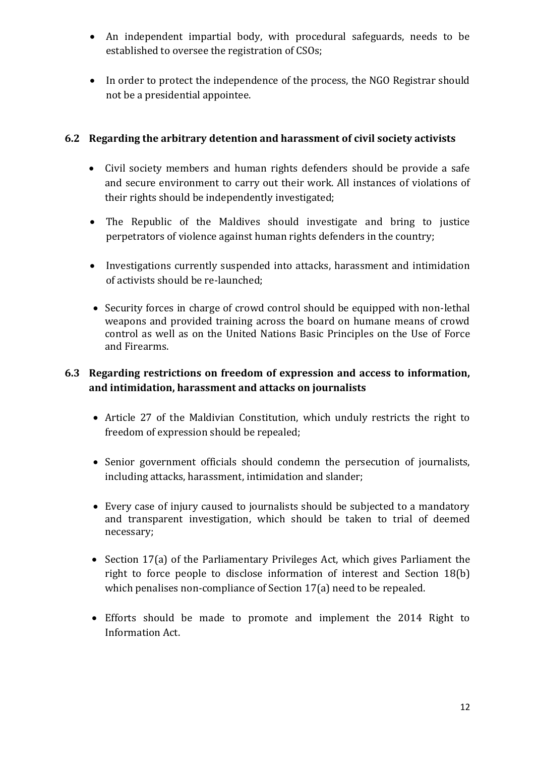- An independent impartial body, with procedural safeguards, needs to be established to oversee the registration of CSOs;
- In order to protect the independence of the process, the NGO Registrar should not be a presidential appointee.

#### **6.2 Regarding the arbitrary detention and harassment of civil society activists**

- Civil society members and human rights defenders should be provide a safe and secure environment to carry out their work. All instances of violations of their rights should be independently investigated;
- The Republic of the Maldives should investigate and bring to justice perpetrators of violence against human rights defenders in the country;
- Investigations currently suspended into attacks, harassment and intimidation of activists should be re-launched;
- Security forces in charge of crowd control should be equipped with non-lethal weapons and provided training across the board on humane means of crowd control as well as on the United Nations Basic Principles on the Use of Force and Firearms.

#### **6.3 Regarding restrictions on freedom of expression and access to information, and intimidation, harassment and attacks on journalists**

- Article 27 of the Maldivian Constitution, which unduly restricts the right to freedom of expression should be repealed;
- Senior government officials should condemn the persecution of journalists, including attacks, harassment, intimidation and slander;
- Every case of injury caused to journalists should be subjected to a mandatory and transparent investigation, which should be taken to trial of deemed necessary;
- Section 17(a) of the Parliamentary Privileges Act, which gives Parliament the right to force people to disclose information of interest and Section 18(b) which penalises non-compliance of Section 17(a) need to be repealed.
- Efforts should be made to promote and implement the 2014 Right to Information Act.